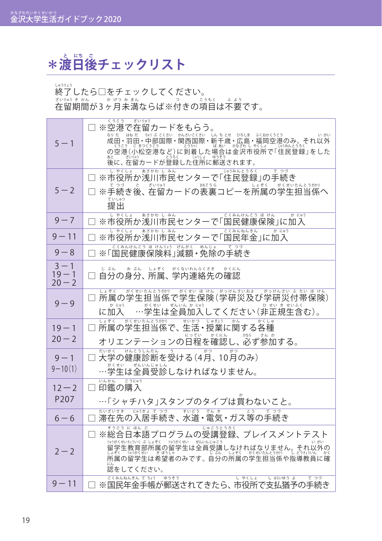## $\ast$ 渡日後チェックリスト

終 しゅう 了 りょう したら□をチェックしてください。

在 ざ い 留 りゅう 期 き 間 か ん が 3ヶ か 月 げ つ 未 み 満 ま ん ならば※付 つ きの項 こ う 目 も く は不 ふ 要 よ う です。

| $5 - 1$                         | くうこう<br>ぎいりゅう<br>□ ※空港で在留カードをもらう。<br>なりた はねだ ちゅうぶこくさい かんさいこくさい しんちとせ ひろしま ふくおかくうこう<br>いがい<br> 成田・羽田・中部国際・関西国際・新子歳・広島・福岡空港のみ。それ以外<br> の空港(小松空港など)に到着した場合は途沿しおほっている。それ以外<br> の空港(小松空港など)に到着した場合は途沢市役所で「住民登録」をした                                           |
|---------------------------------|---------------------------------------------------------------------------------------------------------------------------------------------------------------------------------------------------------------------------------------------------------|
| $5 - 2$                         | 後に、在留カードが登録した住所に郵送されます。<br>あさかわ し みん<br>じゅうみんとうろく<br>しゃくしょ<br>てつづ<br>※市役所か浅川市民センターで「住民登録」の手続き<br>てうず、ここまい <sub>US3</sub><br>※手続き後、在留カードの表裏コピーを所属の学生担当係へ<br>ていしゅつ<br>提出                                                                                  |
| $9 - 7$                         | しゃくしょ<br>あさかわ しみん<br>こくみんけんこう ほ けん<br>か にゅう<br>※市役所か浅川市民センターで「国民健康保険」に加入                                                                                                                                                                                |
| $9 - 11$                        | あさかわ し みん<br>しゃくしょ<br>かにゅう<br>こくみんねんきん<br>※市役所か浅川市民センターで「国民年金」に加入                                                                                                                                                                                       |
| $9 - 8$                         | こくみんけんこう ほ けんりょう げんがく めんじょ<br>てつづ<br>※「国民健康保険料」減額・免除の手続き                                                                                                                                                                                                |
| $3 - 1$<br>$19 - 1$<br>$20 - 2$ | じるんのみるか、しゃそく、がくないれんらくさき、かくにん<br>自分の身分、所属、学内連絡先の確認                                                                                                                                                                                                       |
| $9 - 9$                         | しょぞく がくせいたんとうがかり がくせい ほけん がっけんさいおよ<br>がっけんさい ふ たい ほ けん<br>所属の学生担当係で学生保険(学研災及び学研災付帯保険)<br>か にゅう がくせい ぜんいん か にゅう<br>ひ せい き せいふく<br>に加入 …学生は全員加入してください(非正規生含む)。                                                                                            |
| $19 - 1$<br>$20 - 2$            | がくせいたんとうがかり<br>しょぞく<br>せいかつ<br>じゅぎょう<br>かん<br>かくしゅ<br>所属の学生担当係で、生活・授業に関する各種                                                                                                                                                                             |
| $9 - 1$<br>$9 - 10(1)$          | だいがく<br>けんこうしんだん<br>$\overline{\phantom{0}}$<br>がつ<br>大学の健康診断を受ける(4月、10月のみ)<br>がくせい ぜんいんじゅしん<br>…学生は全員受診しなければなりません。                                                                                                                                     |
| $12 - 2$<br>P <sub>207</sub>    | こうにゅう<br>いんかん<br>□ 印鑑の購入<br>…「シャチハタ」スタンプのタイプは買わないこと。                                                                                                                                                                                                    |
| $6 - 6$                         | たいざいさき にゅうきょ てつづ<br>すいどう<br>でん き<br>とう<br>てつづ<br>滞在先の入居手続き、水道・電気・ガス等の手続き                                                                                                                                                                                |
| $2 - 2$                         | そうごう に ほん ご<br>じゅこうとうろく<br>※総合日本語プログラムの受講登録、プレイスメントテスト<br>りゅうがくせいきょういく ぶ しょぞく りゅうがくせい ぜんいんじゅこう<br>いがい<br><i>留学生教育部所属の留学生は全員受講しなければなりません。それ以外のは学生教育部所属の留学生は全員受講しなければなりません。それ以外の<br/>はそく 帰放戦 - 養殿は<br/>所属の留学生は希望者のみです。自分の所属の学生担当係や指導教員に確</i><br>認をしてください。 |
| $9 - 11$                        | こくみんねんきん て ちょう ゆうそう<br>しゃくしょ<br>しはいゆうよ<br>てつづ<br>※国民年金手帳が郵送されてきたら、市役所で支払猶予の手続き                                                                                                                                                                          |